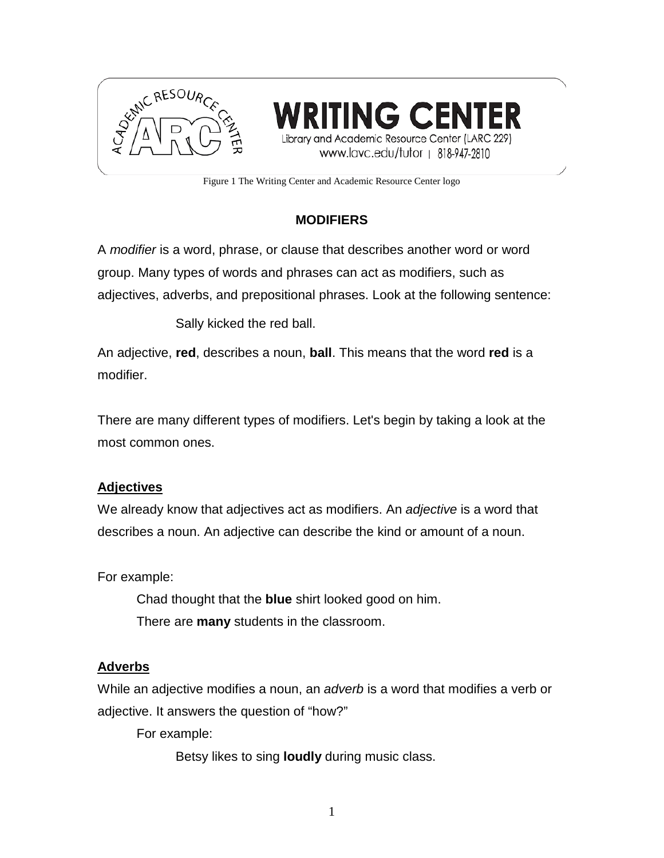



Figure 1 The Writing Center and Academic Resource Center logo

# **MODIFIERS**

A *modifier* is a word, phrase, or clause that describes another word or word group. Many types of words and phrases can act as modifiers, such as adjectives, adverbs, and prepositional phrases. Look at the following sentence:

Sally kicked the red ball.

An adjective, **red**, describes a noun, **ball**. This means that the word **red** is a modifier.

There are many different types of modifiers. Let's begin by taking a look at the most common ones.

## **Adjectives**

We already know that adjectives act as modifiers. An *adjective* is a word that describes a noun. An adjective can describe the kind or amount of a noun.

For example:

Chad thought that the **blue** shirt looked good on him. There are **many** students in the classroom.

#### **Adverbs**

While an adjective modifies a noun, an *adverb* is a word that modifies a verb or adjective. It answers the question of "how?"

For example:

Betsy likes to sing **loudly** during music class.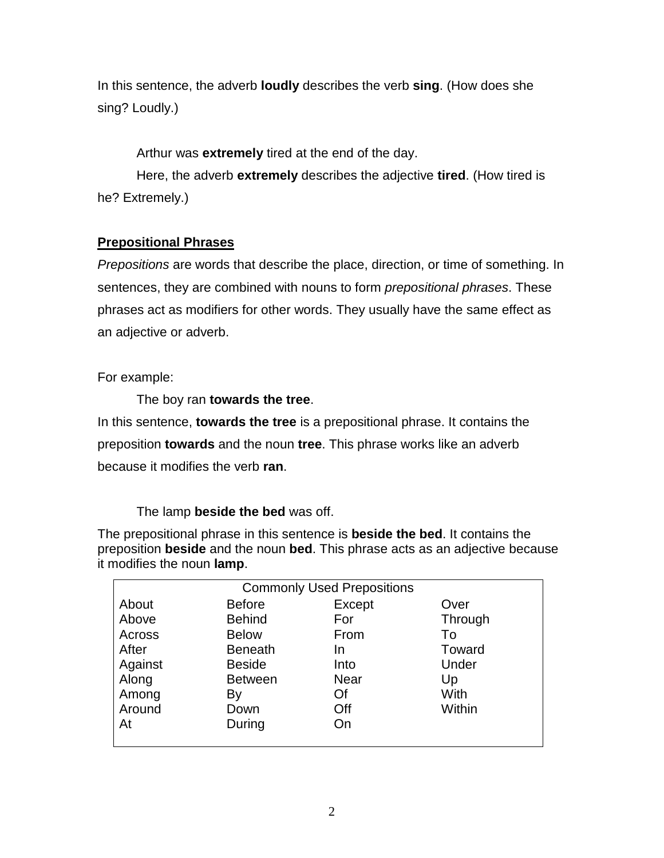In this sentence, the adverb **loudly** describes the verb **sing**. (How does she sing? Loudly.)

Arthur was **extremely** tired at the end of the day.

Here, the adverb **extremely** describes the adjective **tired**. (How tired is he? Extremely.)

## **Prepositional Phrases**

*Prepositions* are words that describe the place, direction, or time of something. In sentences, they are combined with nouns to form *prepositional phrases*. These phrases act as modifiers for other words. They usually have the same effect as an adjective or adverb.

For example:

The boy ran **towards the tree**.

In this sentence, **towards the tree** is a prepositional phrase. It contains the preposition **towards** and the noun **tree**. This phrase works like an adverb because it modifies the verb **ran**.

The lamp **beside the bed** was off.

The prepositional phrase in this sentence is **beside the bed**. It contains the preposition **beside** and the noun **bed**. This phrase acts as an adjective because it modifies the noun **lamp**.

| <b>Commonly Used Prepositions</b> |                |             |         |
|-----------------------------------|----------------|-------------|---------|
| About                             | <b>Before</b>  | Except      | Over    |
| Above                             | <b>Behind</b>  | For         | Through |
| Across                            | <b>Below</b>   | From        | To      |
| After                             | <b>Beneath</b> | In          | Toward  |
| Against                           | <b>Beside</b>  | Into        | Under   |
| Along                             | <b>Between</b> | <b>Near</b> | Up      |
| Among                             | By             | Of          | With    |
| Around                            | Down           | Off         | Within  |
| At                                | During         | On          |         |
|                                   |                |             |         |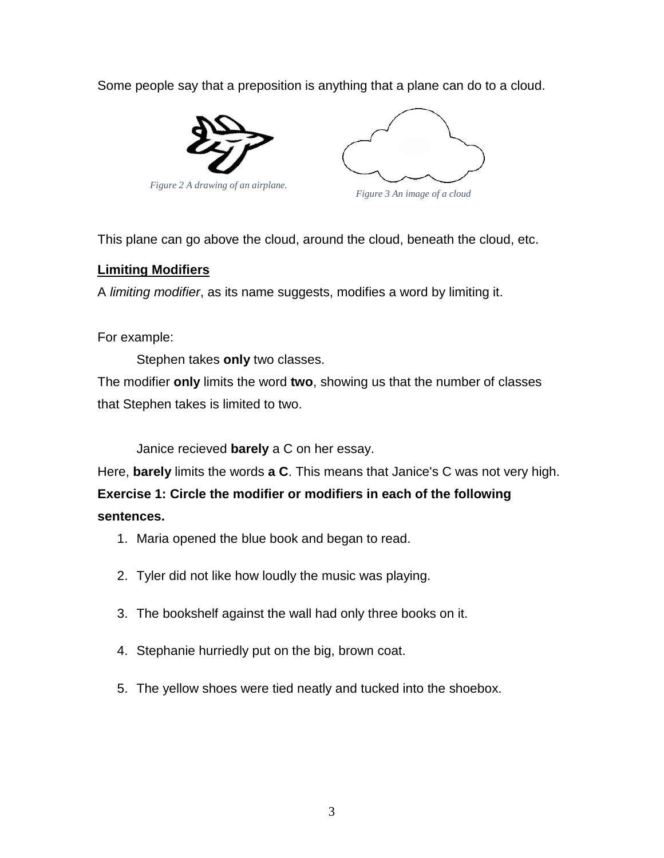Some people say that a preposition is anything that a plane can do to a cloud.



*Figure 2 A drawing of an airplane.*



*Figure 3 An image of a cloud*

This plane can go above the cloud, around the cloud, beneath the cloud, etc.

### **Limiting Modifiers**

A *limiting modifier*, as its name suggests, modifies a word by limiting it.

## For example:

Stephen takes **only** two classes.

The modifier **only** limits the word **two**, showing us that the number of classes that Stephen takes is limited to two.

Janice recieved **barely** a C on her essay.

Here, **barely** limits the words **a C**. This means that Janice's C was not very high.

**Exercise 1: Circle the modifier or modifiers in each of the following sentences.** 

- 1. Maria opened the blue book and began to read.
- 2. Tyler did not like how loudly the music was playing.
- 3. The bookshelf against the wall had only three books on it.
- 4. Stephanie hurriedly put on the big, brown coat.
- 5. The yellow shoes were tied neatly and tucked into the shoebox.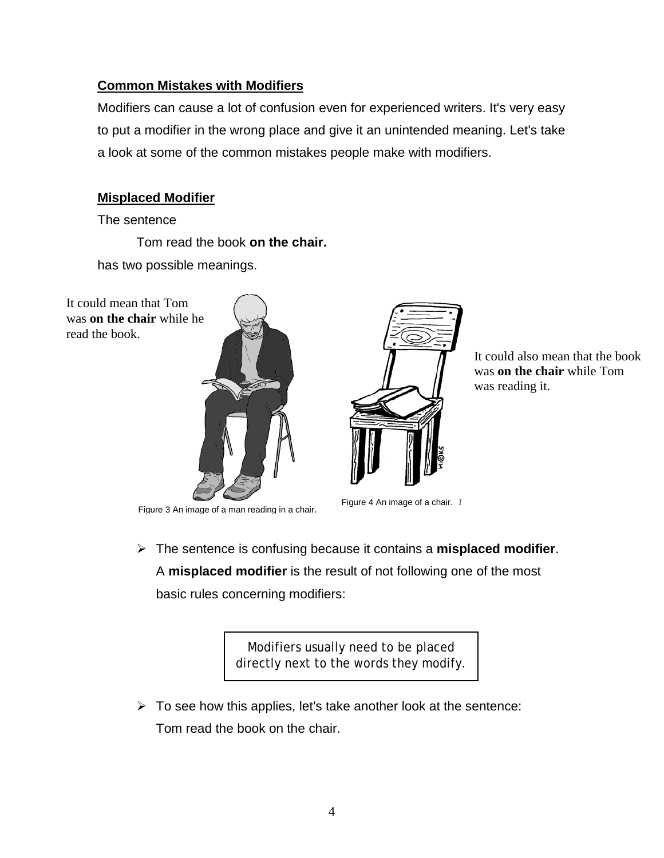## **Common Mistakes with Modifiers**

Modifiers can cause a lot of confusion even for experienced writers. It's very easy to put a modifier in the wrong place and give it an unintended meaning. Let's take a look at some of the common mistakes people make with modifiers.

## **Misplaced Modifier**

The sentence

Tom read the book **on the chair.**

has two possible meanings.







It could also mean that the book was **on the chair** while Tom was reading it.

Figure 3 An image of a man reading in a chair. Figure 4 An image of a chair.*<sup>1</sup>*

 The sentence is confusing because it contains a **misplaced modifier**. A **misplaced modifier** is the result of not following one of the most

basic rules concerning modifiers:

Modifiers usually need to be placed directly next to the words they modify.

 $\triangleright$  To see how this applies, let's take another look at the sentence: Tom read the book on the chair.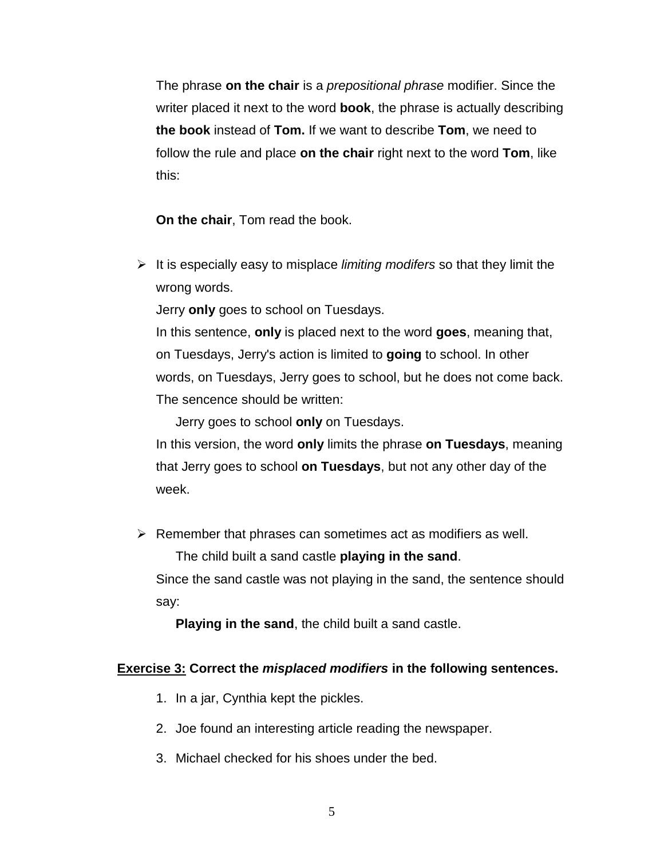The phrase **on the chair** is a *prepositional phrase* modifier. Since the writer placed it next to the word **book**, the phrase is actually describing **the book** instead of **Tom.** If we want to describe **Tom**, we need to follow the rule and place **on the chair** right next to the word **Tom**, like this:

**On the chair**, Tom read the book.

 It is especially easy to misplace *limiting modifers* so that they limit the wrong words.

Jerry **only** goes to school on Tuesdays.

In this sentence, **only** is placed next to the word **goes**, meaning that, on Tuesdays, Jerry's action is limited to **going** to school. In other words, on Tuesdays, Jerry goes to school, but he does not come back. The sencence should be written:

Jerry goes to school **only** on Tuesdays.

In this version, the word **only** limits the phrase **on Tuesdays**, meaning that Jerry goes to school **on Tuesdays**, but not any other day of the week.

 $\triangleright$  Remember that phrases can sometimes act as modifiers as well.

The child built a sand castle **playing in the sand**.

Since the sand castle was not playing in the sand, the sentence should say:

**Playing in the sand**, the child built a sand castle.

#### **Exercise 3: Correct the** *misplaced modifiers* **in the following sentences.**

- 1. In a jar, Cynthia kept the pickles.
- 2. Joe found an interesting article reading the newspaper.
- 3. Michael checked for his shoes under the bed.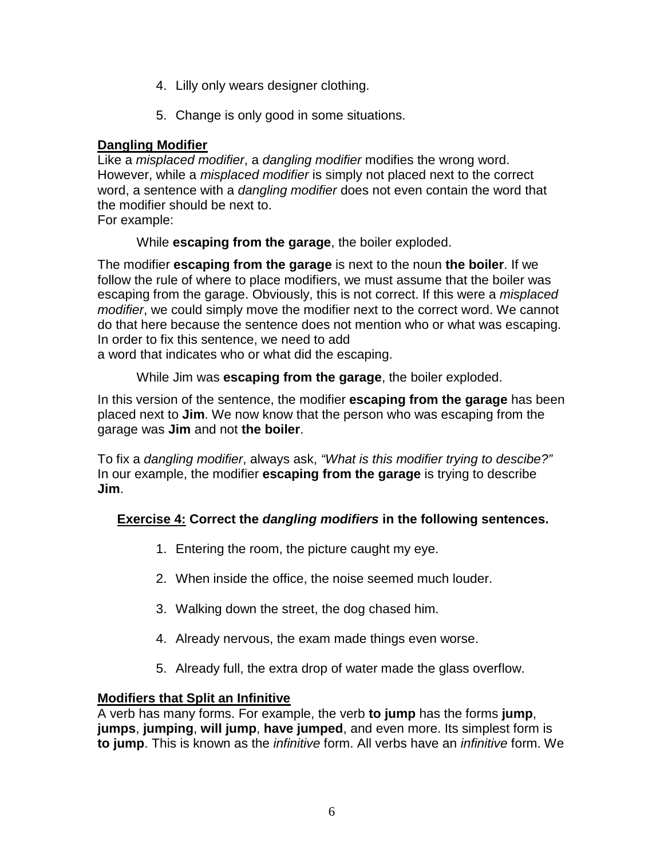- 4. Lilly only wears designer clothing.
- 5. Change is only good in some situations.

## **Dangling Modifier**

Like a *misplaced modifier*, a *dangling modifier* modifies the wrong word. However, while a *misplaced modifier* is simply not placed next to the correct word, a sentence with a *dangling modifier* does not even contain the word that the modifier should be next to.

For example:

While **escaping from the garage**, the boiler exploded.

The modifier **escaping from the garage** is next to the noun **the boiler**. If we follow the rule of where to place modifiers, we must assume that the boiler was escaping from the garage. Obviously, this is not correct. If this were a *misplaced modifier*, we could simply move the modifier next to the correct word. We cannot do that here because the sentence does not mention who or what was escaping. In order to fix this sentence, we need to add

a word that indicates who or what did the escaping.

While Jim was **escaping from the garage**, the boiler exploded.

In this version of the sentence, the modifier **escaping from the garage** has been placed next to **Jim**. We now know that the person who was escaping from the garage was **Jim** and not **the boiler**.

To fix a *dangling modifier*, always ask, *"What is this modifier trying to descibe?"* In our example, the modifier **escaping from the garage** is trying to describe **Jim**.

# **Exercise 4: Correct the** *dangling modifiers* **in the following sentences.**

- 1. Entering the room, the picture caught my eye.
- 2. When inside the office, the noise seemed much louder.
- 3. Walking down the street, the dog chased him.
- 4. Already nervous, the exam made things even worse.
- 5. Already full, the extra drop of water made the glass overflow.

## **Modifiers that Split an Infinitive**

A verb has many forms. For example, the verb **to jump** has the forms **jump**, **jumps**, **jumping**, **will jump**, **have jumped**, and even more. Its simplest form is **to jump**. This is known as the *infinitive* form. All verbs have an *infinitive* form. We